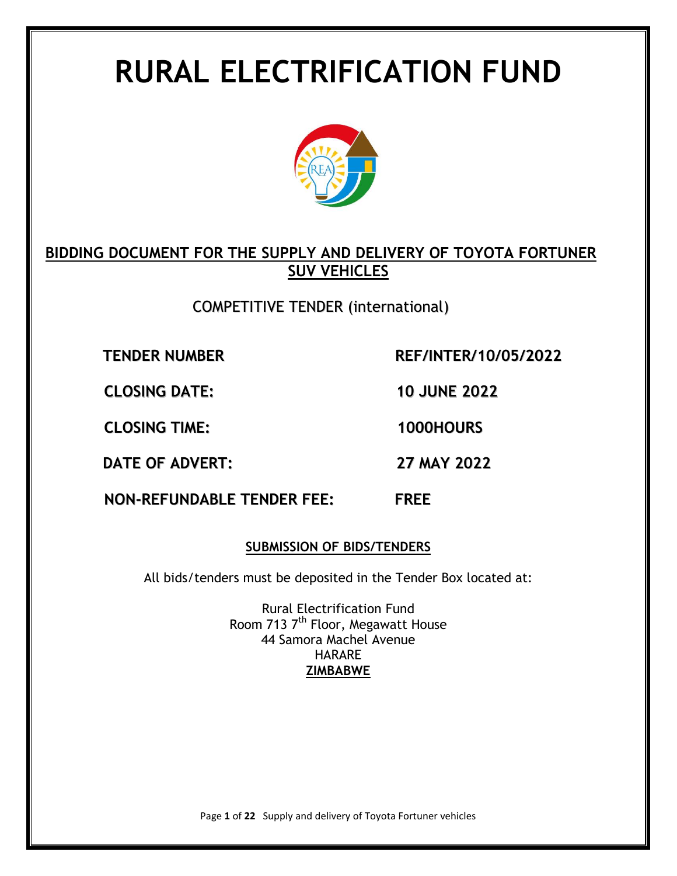# **RURAL ELECTRIFICATION FUND**



# **BIDDING DOCUMENT FOR THE SUPPLY AND DELIVERY OF TOYOTA FORTUNER SUV VEHICLES**

# COMPETITIVE TENDER (international)

**TENDER NUMBER REF/INTER/10/05/2022**

**CLOSING DATE: 10 JUNE 2022**

**CLOSING TIME: 1000HOURS**

**DATE OF ADVERT: 27 MAY 2022**

**NON-REFUNDABLE TENDER FEE: FREE**

# **SUBMISSION OF BIDS/TENDERS**

All bids/tenders must be deposited in the Tender Box located at:

Rural Electrification Fund Room 713 7<sup>th</sup> Floor, Megawatt House 44 Samora Machel Avenue **HARARE ZIMBABWE**

Page **1** of **22** Supply and delivery of Toyota Fortuner vehicles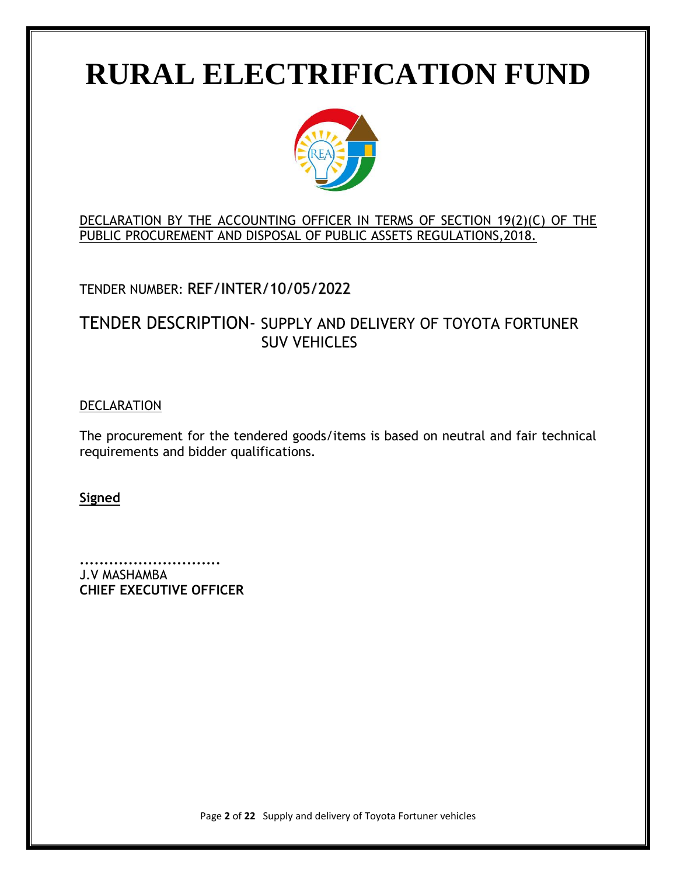# **RURAL ELECTRIFICATION FUND**



# DECLARATION BY THE ACCOUNTING OFFICER IN TERMS OF SECTION 19(2)(C) OF THE PUBLIC PROCUREMENT AND DISPOSAL OF PUBLIC ASSETS REGULATIONS,2018.

# TENDER NUMBER: REF/INTER/10/05/2022

# TENDER DESCRIPTION- SUPPLY AND DELIVERY OF TOYOTA FORTUNER SUV VEHICLES

#### **DECLARATION**

The procurement for the tendered goods/items is based on neutral and fair technical requirements and bidder qualifications.

## **Signed**

**.............................** J.V MASHAMBA **CHIEF EXECUTIVE OFFICER**

Page **2** of **22** Supply and delivery of Toyota Fortuner vehicles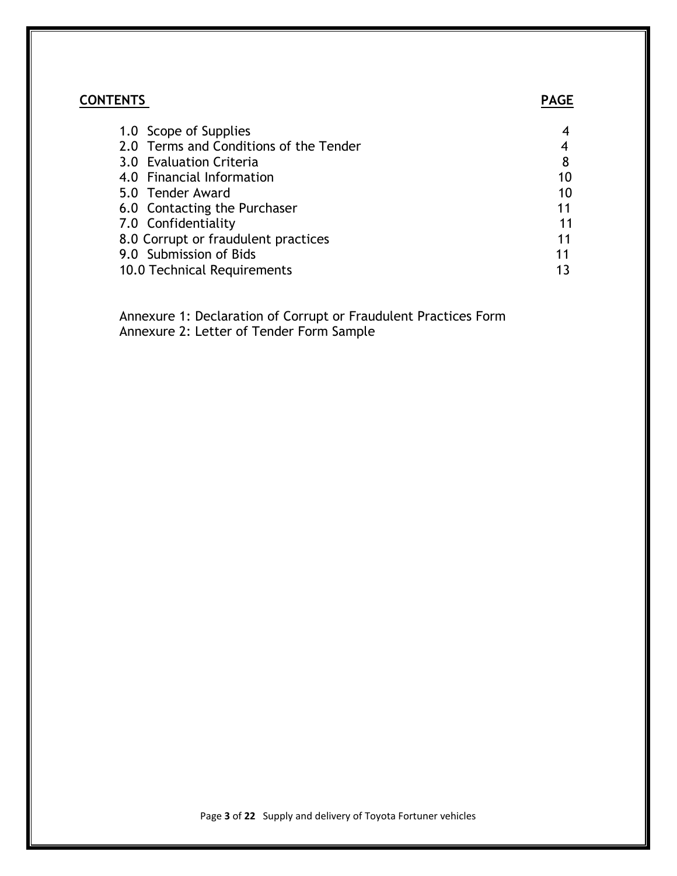# **CONTENTS PAGE**

| 1.0 Scope of Supplies                  |    |
|----------------------------------------|----|
| 2.0 Terms and Conditions of the Tender |    |
| 3.0 Evaluation Criteria                | 8  |
| 4.0 Financial Information              | 10 |
| 5.0 Tender Award                       | 10 |
| 6.0 Contacting the Purchaser           | 11 |
| 7.0 Confidentiality                    | 11 |
| 8.0 Corrupt or fraudulent practices    | 11 |
| 9.0 Submission of Bids                 | 11 |
| 10.0 Technical Requirements            | 13 |

 Annexure 1: Declaration of Corrupt or Fraudulent Practices Form Annexure 2: Letter of Tender Form Sample

Page **3** of **22** Supply and delivery of Toyota Fortuner vehicles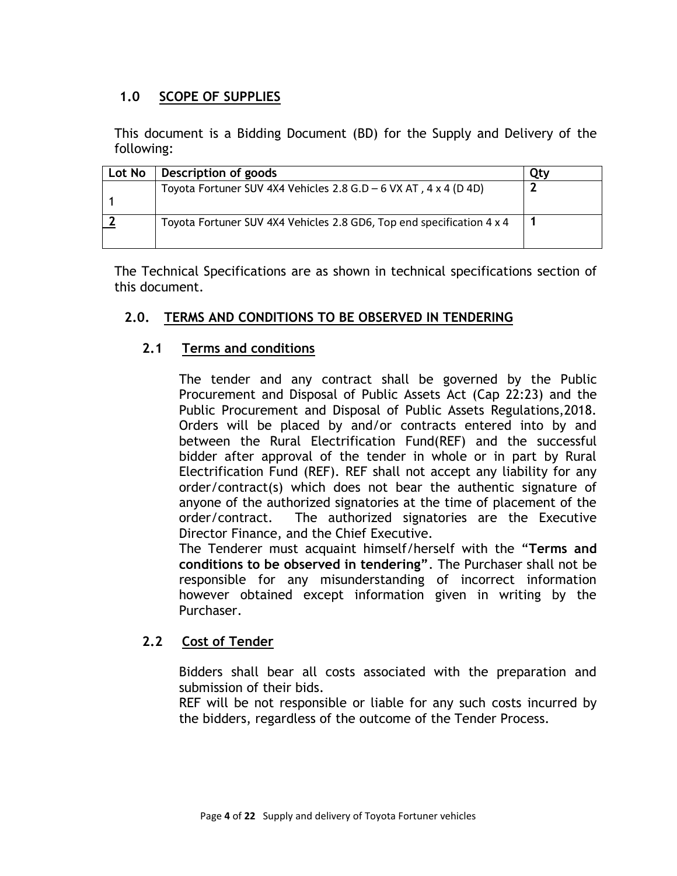# **1.0 SCOPE OF SUPPLIES**

This document is a Bidding Document (BD) for the Supply and Delivery of the following:

| Lot No | Description of goods                                                  |  |
|--------|-----------------------------------------------------------------------|--|
|        | Toyota Fortuner SUV 4X4 Vehicles 2.8 G.D - 6 VX AT, 4 x 4 (D 4D)      |  |
|        |                                                                       |  |
|        | Toyota Fortuner SUV 4X4 Vehicles 2.8 GD6, Top end specification 4 x 4 |  |

The Technical Specifications are as shown in technical specifications section of this document.

## **2.0. TERMS AND CONDITIONS TO BE OBSERVED IN TENDERING**

## **2.1 Terms and conditions**

The tender and any contract shall be governed by the Public Procurement and Disposal of Public Assets Act (Cap 22:23) and the Public Procurement and Disposal of Public Assets Regulations,2018. Orders will be placed by and/or contracts entered into by and between the Rural Electrification Fund(REF) and the successful bidder after approval of the tender in whole or in part by Rural Electrification Fund (REF). REF shall not accept any liability for any order/contract(s) which does not bear the authentic signature of anyone of the authorized signatories at the time of placement of the order/contract. The authorized signatories are the Executive Director Finance, and the Chief Executive.

The Tenderer must acquaint himself/herself with the "**Terms and conditions to be observed in tendering"**. The Purchaser shall not be responsible for any misunderstanding of incorrect information however obtained except information given in writing by the Purchaser.

## **2.2 Cost of Tender**

Bidders shall bear all costs associated with the preparation and submission of their bids.

REF will be not responsible or liable for any such costs incurred by the bidders, regardless of the outcome of the Tender Process.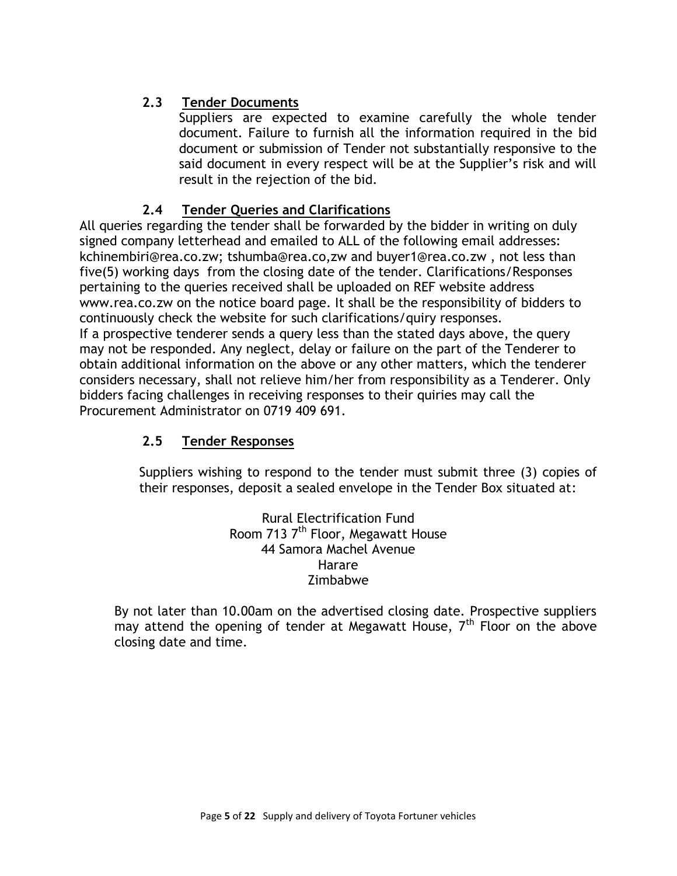# **2.3 Tender Documents**

Suppliers are expected to examine carefully the whole tender document. Failure to furnish all the information required in the bid document or submission of Tender not substantially responsive to the said document in every respect will be at the Supplier's risk and will result in the rejection of the bid.

# **2.4 Tender Queries and Clarifications**

All queries regarding the tender shall be forwarded by the bidder in writing on duly signed company letterhead and emailed to ALL of the following email addresses: kchinembiri@rea.co.zw; tshumba@rea.co,zw and buyer1@rea.co.zw , not less than five(5) working days from the closing date of the tender. Clarifications/Responses pertaining to the queries received shall be uploaded on REF website address www.rea.co.zw on the notice board page. It shall be the responsibility of bidders to continuously check the website for such clarifications/quiry responses. If a prospective tenderer sends a query less than the stated days above, the query may not be responded. Any neglect, delay or failure on the part of the Tenderer to obtain additional information on the above or any other matters, which the tenderer considers necessary, shall not relieve him/her from responsibility as a Tenderer. Only bidders facing challenges in receiving responses to their quiries may call the Procurement Administrator on 0719 409 691.

# **2.5 Tender Responses**

Suppliers wishing to respond to the tender must submit three (3) copies of their responses, deposit a sealed envelope in the Tender Box situated at:

> Rural Electrification Fund Room 713 7<sup>th</sup> Floor, Megawatt House 44 Samora Machel Avenue Harare Zimbabwe

By not later than 10.00am on the advertised closing date. Prospective suppliers may attend the opening of tender at Megawatt House,  $7<sup>th</sup>$  Floor on the above closing date and time.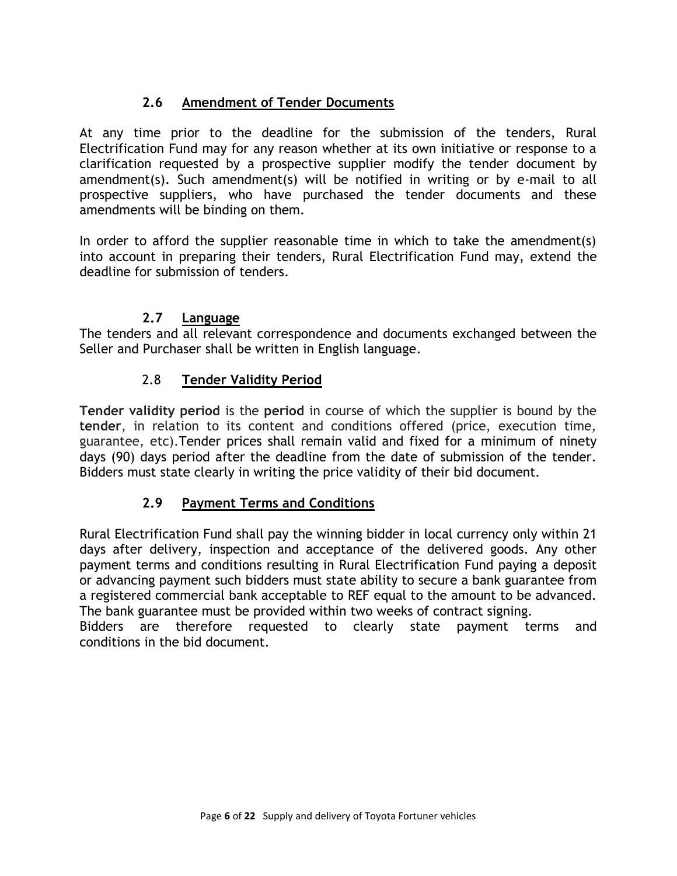# **2.6 Amendment of Tender Documents**

At any time prior to the deadline for the submission of the tenders, Rural Electrification Fund may for any reason whether at its own initiative or response to a clarification requested by a prospective supplier modify the tender document by amendment(s). Such amendment(s) will be notified in writing or by e-mail to all prospective suppliers, who have purchased the tender documents and these amendments will be binding on them.

In order to afford the supplier reasonable time in which to take the amendment(s) into account in preparing their tenders, Rural Electrification Fund may, extend the deadline for submission of tenders.

# **2.7 Language**

The tenders and all relevant correspondence and documents exchanged between the Seller and Purchaser shall be written in English language.

# 2.8 **Tender Validity Period**

**Tender validity period** is the **period** in course of which the supplier is bound by the **tender**, in relation to its content and conditions offered (price, execution time, guarantee, etc).Tender prices shall remain valid and fixed for a minimum of ninety days (90) days period after the deadline from the date of submission of the tender. Bidders must state clearly in writing the price validity of their bid document.

# **2.9 Payment Terms and Conditions**

Rural Electrification Fund shall pay the winning bidder in local currency only within 21 days after delivery, inspection and acceptance of the delivered goods. Any other payment terms and conditions resulting in Rural Electrification Fund paying a deposit or advancing payment such bidders must state ability to secure a bank guarantee from a registered commercial bank acceptable to REF equal to the amount to be advanced. The bank guarantee must be provided within two weeks of contract signing.

Bidders are therefore requested to clearly state payment terms and conditions in the bid document.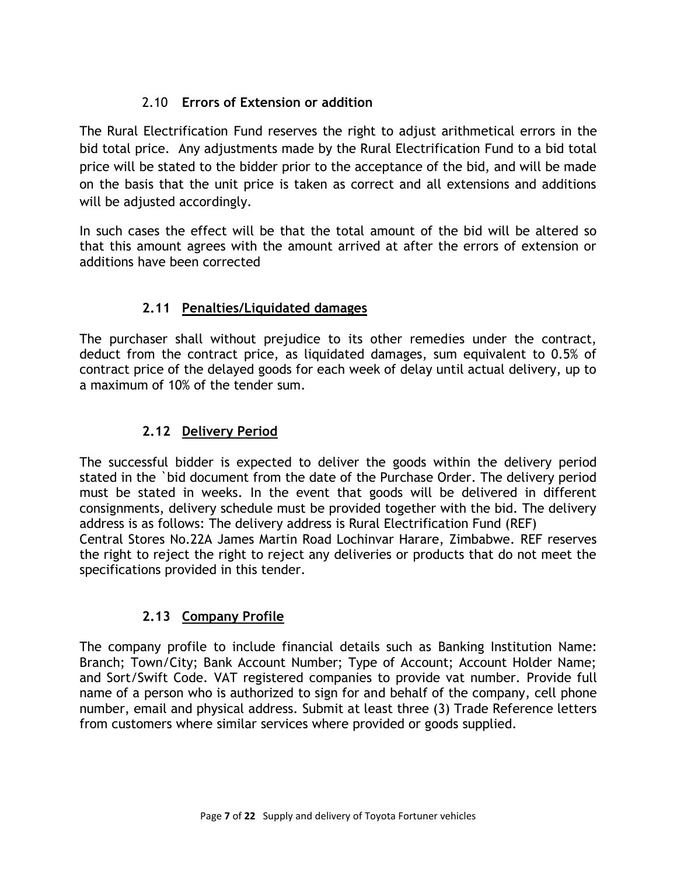# 2.10 **Errors of Extension or addition**

The Rural Electrification Fund reserves the right to adjust arithmetical errors in the bid total price. Any adjustments made by the Rural Electrification Fund to a bid total price will be stated to the bidder prior to the acceptance of the bid, and will be made on the basis that the unit price is taken as correct and all extensions and additions will be adjusted accordingly.

In such cases the effect will be that the total amount of the bid will be altered so that this amount agrees with the amount arrived at after the errors of extension or additions have been corrected

# **2.11 Penalties/Liquidated damages**

The purchaser shall without prejudice to its other remedies under the contract, deduct from the contract price, as liquidated damages, sum equivalent to 0.5% of contract price of the delayed goods for each week of delay until actual delivery, up to a maximum of 10% of the tender sum.

# **2.12 Delivery Period**

The successful bidder is expected to deliver the goods within the delivery period stated in the `bid document from the date of the Purchase Order. The delivery period must be stated in weeks. In the event that goods will be delivered in different consignments, delivery schedule must be provided together with the bid. The delivery address is as follows: The delivery address is Rural Electrification Fund (REF) Central Stores No.22A James Martin Road Lochinvar Harare, Zimbabwe. REF reserves the right to reject the right to reject any deliveries or products that do not meet the specifications provided in this tender.

# **2.13 Company Profile**

The company profile to include financial details such as Banking Institution Name: Branch; Town/City; Bank Account Number; Type of Account; Account Holder Name; and Sort/Swift Code. VAT registered companies to provide vat number. Provide full name of a person who is authorized to sign for and behalf of the company, cell phone number, email and physical address. Submit at least three (3) Trade Reference letters from customers where similar services where provided or goods supplied.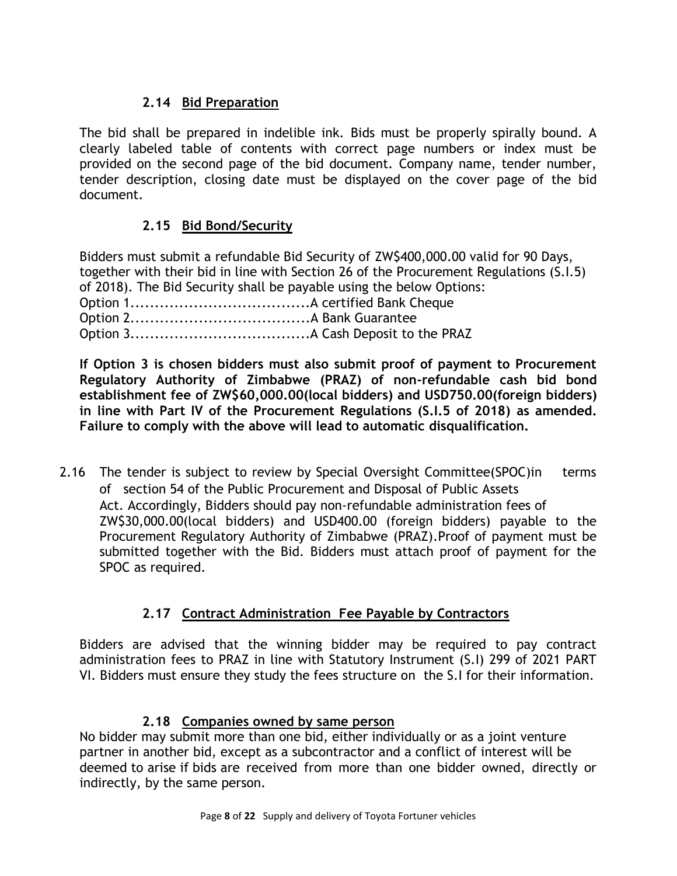# **2.14 Bid Preparation**

The bid shall be prepared in indelible ink. Bids must be properly spirally bound. A clearly labeled table of contents with correct page numbers or index must be provided on the second page of the bid document. Company name, tender number, tender description, closing date must be displayed on the cover page of the bid document.

# **2.15 Bid Bond/Security**

Bidders must submit a refundable Bid Security of ZW\$400,000.00 valid for 90 Days, together with their bid in line with Section 26 of the Procurement Regulations (S.I.5) of 2018). The Bid Security shall be payable using the below Options: Option 1.....................................A certified Bank Cheque Option 2.....................................A Bank Guarantee Option 3.....................................A Cash Deposit to the PRAZ

**If Option 3 is chosen bidders must also submit proof of payment to Procurement Regulatory Authority of Zimbabwe (PRAZ) of non-refundable cash bid bond establishment fee of ZW\$60,000.00(local bidders) and USD750.00(foreign bidders) in line with Part IV of the Procurement Regulations (S.I.5 of 2018) as amended. Failure to comply with the above will lead to automatic disqualification.**

2.16 The tender is subject to review by Special Oversight Committee(SPOC)in terms of section 54 of the Public Procurement and Disposal of Public Assets Act. Accordingly, Bidders should pay non-refundable administration fees of ZW\$30,000.00(local bidders) and USD400.00 (foreign bidders) payable to the Procurement Regulatory Authority of Zimbabwe (PRAZ).Proof of payment must be submitted together with the Bid. Bidders must attach proof of payment for the SPOC as required.

# **2.17 Contract Administration Fee Payable by Contractors**

Bidders are advised that the winning bidder may be required to pay contract administration fees to PRAZ in line with Statutory Instrument (S.I) 299 of 2021 PART VI. Bidders must ensure they study the fees structure on the S.I for their information.

## **2.18 Companies owned by same person**

No bidder may submit more than one bid, either individually or as a joint venture partner in another bid, except as a subcontractor and a conflict of interest will be deemed to arise if bids are received from more than one bidder owned, directly or indirectly, by the same person.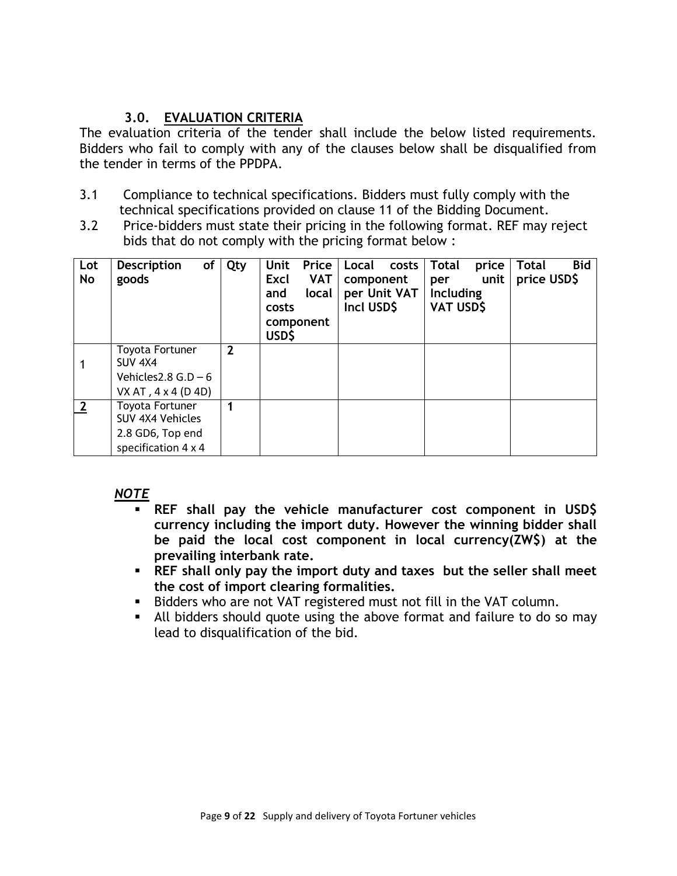# **3.0. EVALUATION CRITERIA**

The evaluation criteria of the tender shall include the below listed requirements. Bidders who fail to comply with any of the clauses below shall be disqualified from the tender in terms of the PPDPA.

- 3.1 Compliance to technical specifications. Bidders must fully comply with the technical specifications provided on clause 11 of the Bidding Document.
- 3.2 Price-bidders must state their pricing in the following format. REF may reject bids that do not comply with the pricing format below :

| Lot<br>No. | <b>Description</b><br>of<br>goods                                                     | Qty          | Price<br>Unit<br><b>VAT</b><br>Excl<br>local<br>and<br>costs<br>component<br>USD\$ | Local<br>costs<br>component<br>per Unit VAT<br>Incl USD\$ | price<br><b>Total</b><br>unit  <br>per<br><b>Including</b><br>VAT USD\$ | <b>Bid</b><br><b>Total</b><br>price USD\$ |
|------------|---------------------------------------------------------------------------------------|--------------|------------------------------------------------------------------------------------|-----------------------------------------------------------|-------------------------------------------------------------------------|-------------------------------------------|
|            | Toyota Fortuner<br>SUV 4X4<br>Vehicles $2.8$ G.D $-6$<br>VX AT, $4 \times 4$ (D 4D)   | $\mathbf{2}$ |                                                                                    |                                                           |                                                                         |                                           |
|            | <b>Toyota Fortuner</b><br>SUV 4X4 Vehicles<br>2.8 GD6, Top end<br>specification 4 x 4 |              |                                                                                    |                                                           |                                                                         |                                           |

## *NOTE*

- **REF shall pay the vehicle manufacturer cost component in USD\$ currency including the import duty. However the winning bidder shall be paid the local cost component in local currency(ZW\$) at the prevailing interbank rate.**
- **REF shall only pay the import duty and taxes but the seller shall meet the cost of import clearing formalities.**
- Bidders who are not VAT registered must not fill in the VAT column.
- All bidders should quote using the above format and failure to do so may lead to disqualification of the bid.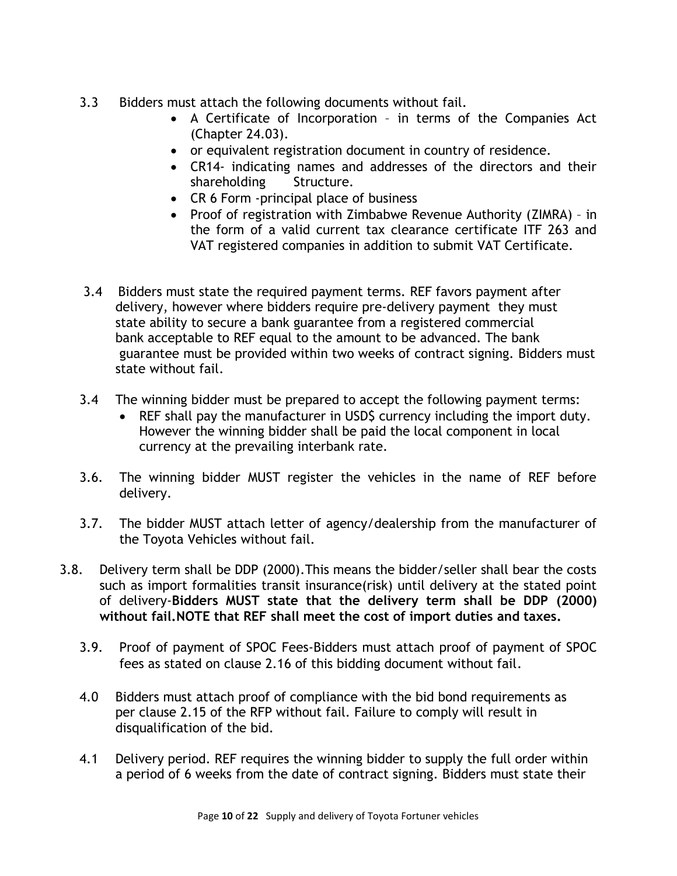- 3.3 Bidders must attach the following documents without fail.
	- A Certificate of Incorporation in terms of the Companies Act (Chapter 24.03).
	- or equivalent registration document in country of residence.
	- CR14- indicating names and addresses of the directors and their shareholding Structure.
	- CR 6 Form -principal place of business
	- Proof of registration with Zimbabwe Revenue Authority (ZIMRA) in the form of a valid current tax clearance certificate ITF 263 and VAT registered companies in addition to submit VAT Certificate.
- 3.4 Bidders must state the required payment terms. REF favors payment after delivery, however where bidders require pre-delivery payment they must state ability to secure a bank guarantee from a registered commercial bank acceptable to REF equal to the amount to be advanced. The bank guarantee must be provided within two weeks of contract signing. Bidders must state without fail.
- 3.4 The winning bidder must be prepared to accept the following payment terms:
	- REF shall pay the manufacturer in USD\$ currency including the import duty. However the winning bidder shall be paid the local component in local currency at the prevailing interbank rate.
- 3.6. The winning bidder MUST register the vehicles in the name of REF before delivery.
- 3.7. The bidder MUST attach letter of agency/dealership from the manufacturer of the Toyota Vehicles without fail.
- 3.8. Delivery term shall be DDP (2000).This means the bidder/seller shall bear the costs such as import formalities transit insurance(risk) until delivery at the stated point of delivery-**Bidders MUST state that the delivery term shall be DDP (2000) without fail.NOTE that REF shall meet the cost of import duties and taxes.**
	- 3.9. Proof of payment of SPOC Fees-Bidders must attach proof of payment of SPOC fees as stated on clause 2.16 of this bidding document without fail.
	- 4.0 Bidders must attach proof of compliance with the bid bond requirements as per clause 2.15 of the RFP without fail. Failure to comply will result in disqualification of the bid.
	- 4.1 Delivery period. REF requires the winning bidder to supply the full order within a period of 6 weeks from the date of contract signing. Bidders must state their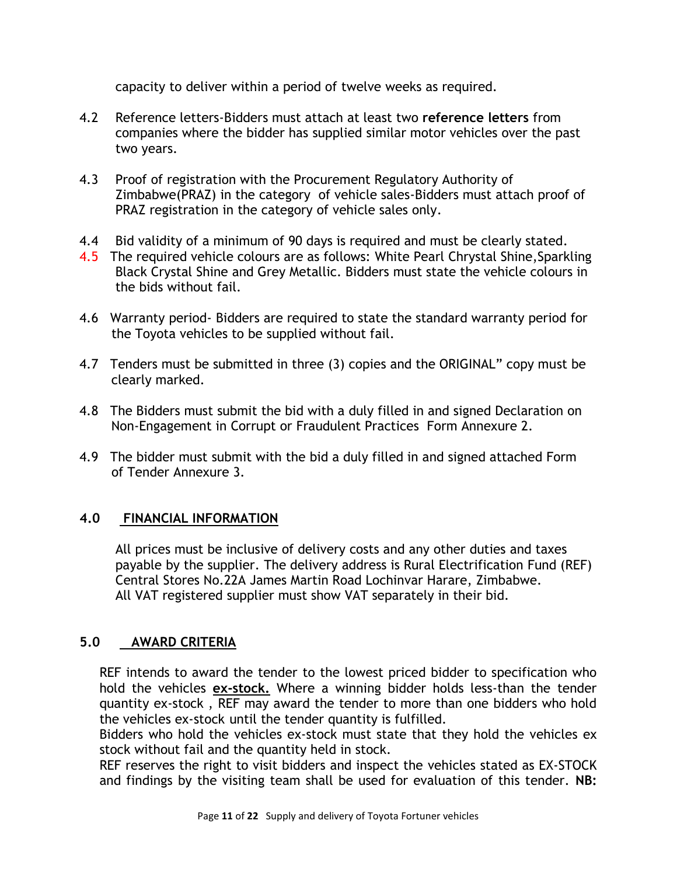capacity to deliver within a period of twelve weeks as required.

- 4.2 Reference letters-Bidders must attach at least two **reference letters** from companies where the bidder has supplied similar motor vehicles over the past two years.
- 4.3 Proof of registration with the Procurement Regulatory Authority of Zimbabwe(PRAZ) in the category of vehicle sales-Bidders must attach proof of PRAZ registration in the category of vehicle sales only.
- 4.4 Bid validity of a minimum of 90 days is required and must be clearly stated.
- 4.5 The required vehicle colours are as follows: White Pearl Chrystal Shine, Sparkling Black Crystal Shine and Grey Metallic. Bidders must state the vehicle colours in the bids without fail.
- 4.6 Warranty period- Bidders are required to state the standard warranty period for the Toyota vehicles to be supplied without fail.
- 4.7 Tenders must be submitted in three (3) copies and the ORIGINAL" copy must be clearly marked.
- 4.8 The Bidders must submit the bid with a duly filled in and signed Declaration on Non-Engagement in Corrupt or Fraudulent Practices Form Annexure 2.
- 4.9 The bidder must submit with the bid a duly filled in and signed attached Form of Tender Annexure 3.

# **4.0 FINANCIAL INFORMATION**

 All prices must be inclusive of delivery costs and any other duties and taxes payable by the supplier. The delivery address is Rural Electrification Fund (REF) Central Stores No.22A James Martin Road Lochinvar Harare, Zimbabwe. All VAT registered supplier must show VAT separately in their bid.

# **5.0 AWARD CRITERIA**

REF intends to award the tender to the lowest priced bidder to specification who hold the vehicles **ex-stock.** Where a winning bidder holds less-than the tender quantity ex-stock , REF may award the tender to more than one bidders who hold the vehicles ex-stock until the tender quantity is fulfilled.

Bidders who hold the vehicles ex-stock must state that they hold the vehicles ex stock without fail and the quantity held in stock.

REF reserves the right to visit bidders and inspect the vehicles stated as EX-STOCK and findings by the visiting team shall be used for evaluation of this tender. **NB:**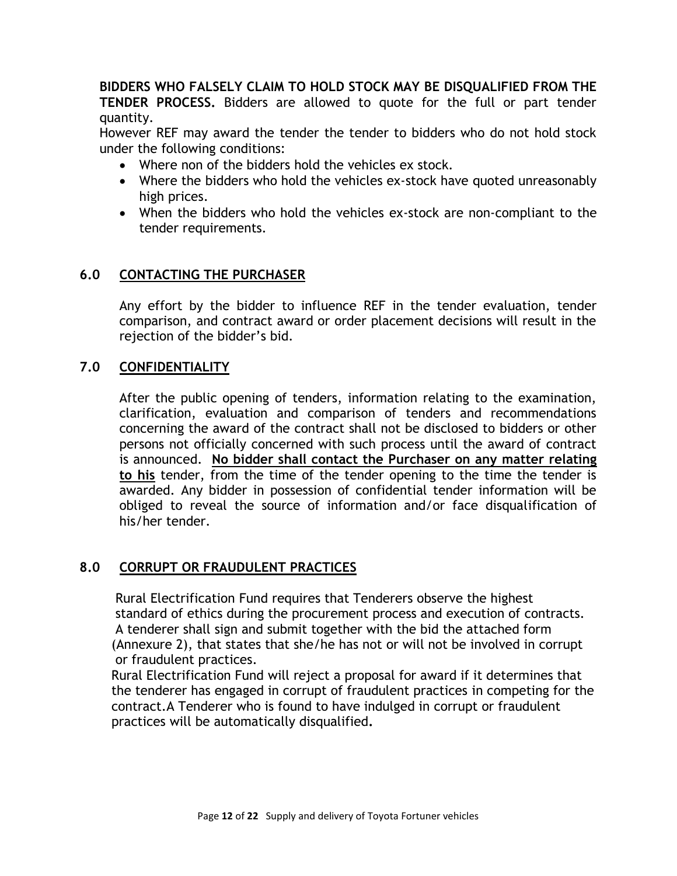**BIDDERS WHO FALSELY CLAIM TO HOLD STOCK MAY BE DISQUALIFIED FROM THE TENDER PROCESS.** Bidders are allowed to quote for the full or part tender quantity.

However REF may award the tender the tender to bidders who do not hold stock under the following conditions:

- Where non of the bidders hold the vehicles ex stock.
- Where the bidders who hold the vehicles ex-stock have quoted unreasonably high prices.
- When the bidders who hold the vehicles ex-stock are non-compliant to the tender requirements.

#### **6.0 CONTACTING THE PURCHASER**

Any effort by the bidder to influence REF in the tender evaluation, tender comparison, and contract award or order placement decisions will result in the rejection of the bidder's bid.

#### **7.0 CONFIDENTIALITY**

After the public opening of tenders, information relating to the examination, clarification, evaluation and comparison of tenders and recommendations concerning the award of the contract shall not be disclosed to bidders or other persons not officially concerned with such process until the award of contract is announced. **No bidder shall contact the Purchaser on any matter relating to his** tender, from the time of the tender opening to the time the tender is awarded. Any bidder in possession of confidential tender information will be obliged to reveal the source of information and/or face disqualification of his/her tender.

## **8.0 CORRUPT OR FRAUDULENT PRACTICES**

 Rural Electrification Fund requires that Tenderers observe the highest standard of ethics during the procurement process and execution of contracts. A tenderer shall sign and submit together with the bid the attached form (Annexure 2), that states that she/he has not or will not be involved in corrupt or fraudulent practices.

 Rural Electrification Fund will reject a proposal for award if it determines that the tenderer has engaged in corrupt of fraudulent practices in competing for the contract.A Tenderer who is found to have indulged in corrupt or fraudulent practices will be automatically disqualified**.**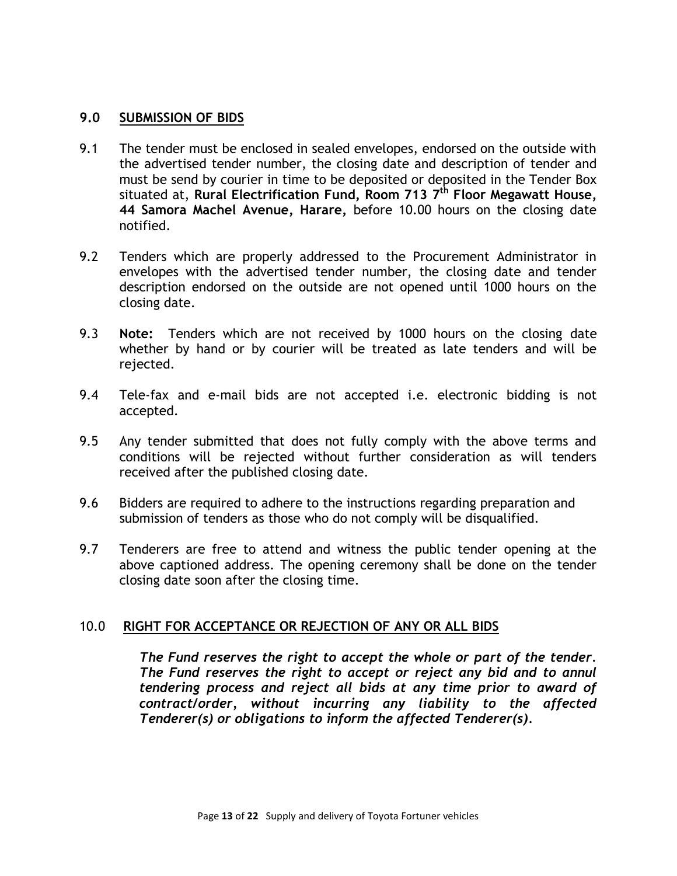#### **9.0 SUBMISSION OF BIDS**

- 9.1 The tender must be enclosed in sealed envelopes, endorsed on the outside with the advertised tender number, the closing date and description of tender and must be send by courier in time to be deposited or deposited in the Tender Box situated at, **Rural Electrification Fund, Room 713 7 th Floor Megawatt House, 44 Samora Machel Avenue, Harare,** before 10.00 hours on the closing date notified.
- 9.2 Tenders which are properly addressed to the Procurement Administrator in envelopes with the advertised tender number, the closing date and tender description endorsed on the outside are not opened until 1000 hours on the closing date.
- 9.3 **Note:** Tenders which are not received by 1000 hours on the closing date whether by hand or by courier will be treated as late tenders and will be rejected.
- 9.4 Tele-fax and e-mail bids are not accepted i.e. electronic bidding is not accepted.
- 9.5 Any tender submitted that does not fully comply with the above terms and conditions will be rejected without further consideration as will tenders received after the published closing date.
- 9.6 Bidders are required to adhere to the instructions regarding preparation and submission of tenders as those who do not comply will be disqualified.
- 9.7 Tenderers are free to attend and witness the public tender opening at the above captioned address. The opening ceremony shall be done on the tender closing date soon after the closing time.

#### 10.0 **RIGHT FOR ACCEPTANCE OR REJECTION OF ANY OR ALL BIDS**

*The Fund reserves the right to accept the whole or part of the tender. The Fund reserves the right to accept or reject any bid and to annul tendering process and reject all bids at any time prior to award of contract/order, without incurring any liability to the affected Tenderer(s) or obligations to inform the affected Tenderer(s).*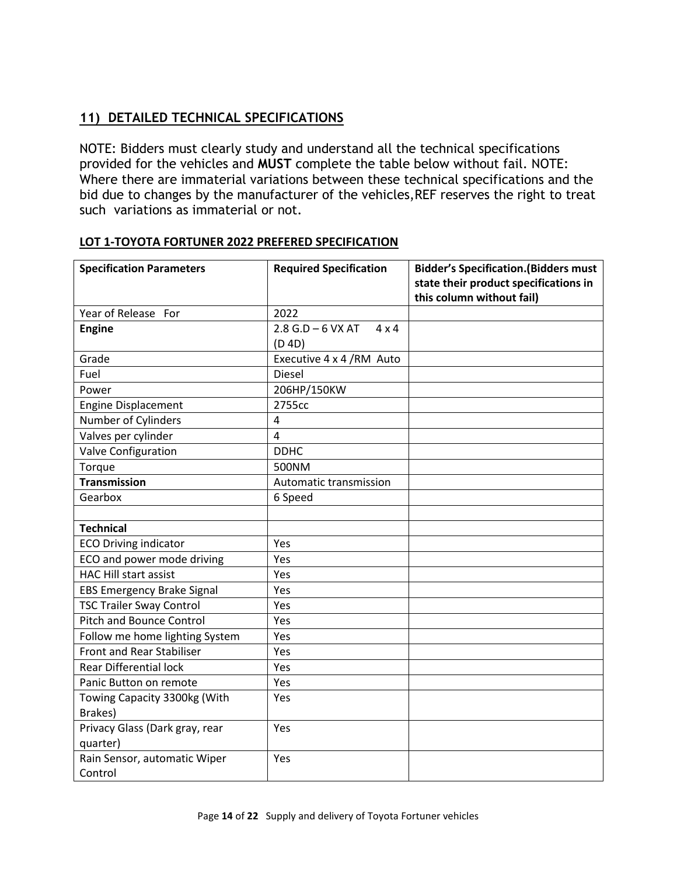# **11) DETAILED TECHNICAL SPECIFICATIONS**

NOTE: Bidders must clearly study and understand all the technical specifications provided for the vehicles and **MUST** complete the table below without fail. NOTE: Where there are immaterial variations between these technical specifications and the bid due to changes by the manufacturer of the vehicles,REF reserves the right to treat such variations as immaterial or not.

| <b>Specification Parameters</b>            | <b>Required Specification</b>                 | <b>Bidder's Specification. (Bidders must</b><br>state their product specifications in<br>this column without fail) |
|--------------------------------------------|-----------------------------------------------|--------------------------------------------------------------------------------------------------------------------|
| Year of Release For                        | 2022                                          |                                                                                                                    |
| <b>Engine</b>                              | $2.8 G.D - 6 VX AT$<br>$4 \times 4$<br>(D 4D) |                                                                                                                    |
| Grade                                      | Executive 4 x 4 /RM Auto                      |                                                                                                                    |
| Fuel                                       | <b>Diesel</b>                                 |                                                                                                                    |
| Power                                      | 206HP/150KW                                   |                                                                                                                    |
| <b>Engine Displacement</b>                 | 2755cc                                        |                                                                                                                    |
| Number of Cylinders                        | $\overline{4}$                                |                                                                                                                    |
| Valves per cylinder                        | $\overline{4}$                                |                                                                                                                    |
| Valve Configuration                        | <b>DDHC</b>                                   |                                                                                                                    |
| Torque                                     | 500NM                                         |                                                                                                                    |
| <b>Transmission</b>                        | Automatic transmission                        |                                                                                                                    |
| Gearbox                                    | 6 Speed                                       |                                                                                                                    |
|                                            |                                               |                                                                                                                    |
| <b>Technical</b>                           |                                               |                                                                                                                    |
| <b>ECO Driving indicator</b>               | Yes                                           |                                                                                                                    |
| ECO and power mode driving                 | Yes                                           |                                                                                                                    |
| <b>HAC Hill start assist</b>               | Yes                                           |                                                                                                                    |
| <b>EBS Emergency Brake Signal</b>          | Yes                                           |                                                                                                                    |
| <b>TSC Trailer Sway Control</b>            | Yes                                           |                                                                                                                    |
| <b>Pitch and Bounce Control</b>            | Yes                                           |                                                                                                                    |
| Follow me home lighting System             | Yes                                           |                                                                                                                    |
| Front and Rear Stabiliser                  | Yes                                           |                                                                                                                    |
| <b>Rear Differential lock</b>              | Yes                                           |                                                                                                                    |
| Panic Button on remote                     | Yes                                           |                                                                                                                    |
| Towing Capacity 3300kg (With<br>Brakes)    | Yes                                           |                                                                                                                    |
| Privacy Glass (Dark gray, rear<br>quarter) | Yes                                           |                                                                                                                    |
| Rain Sensor, automatic Wiper<br>Control    | Yes                                           |                                                                                                                    |

#### **LOT 1-TOYOTA FORTUNER 2022 PREFERED SPECIFICATION**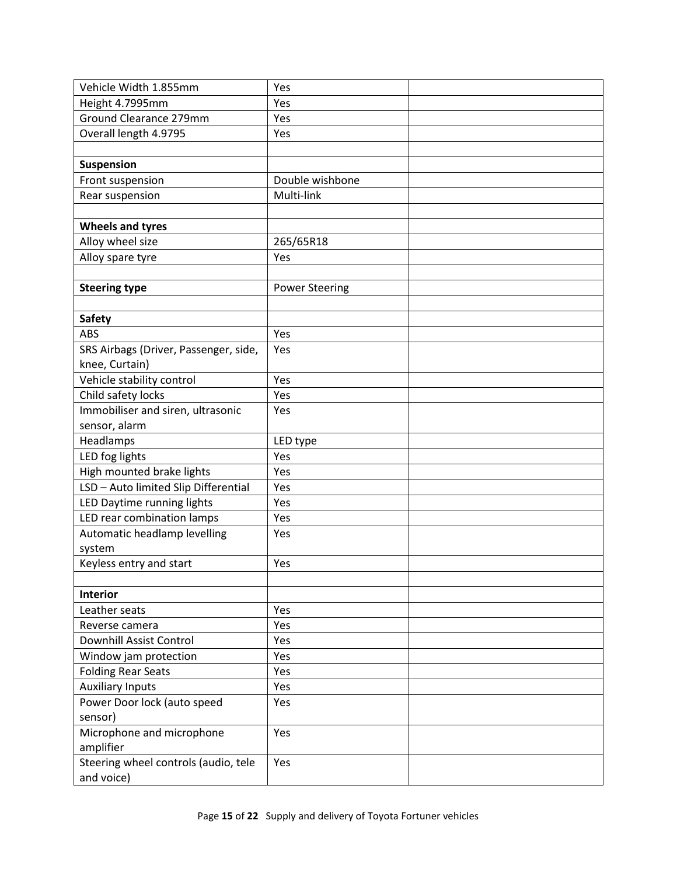| Vehicle Width 1.855mm                 | Yes                   |  |
|---------------------------------------|-----------------------|--|
| Height 4.7995mm                       | Yes                   |  |
| Ground Clearance 279mm                | Yes                   |  |
| Overall length 4.9795                 | Yes                   |  |
|                                       |                       |  |
| Suspension                            |                       |  |
| Front suspension                      | Double wishbone       |  |
| Rear suspension                       | Multi-link            |  |
|                                       |                       |  |
| <b>Wheels and tyres</b>               |                       |  |
| Alloy wheel size                      | 265/65R18             |  |
| Alloy spare tyre                      | Yes                   |  |
|                                       |                       |  |
| <b>Steering type</b>                  | <b>Power Steering</b> |  |
|                                       |                       |  |
| <b>Safety</b>                         |                       |  |
| ABS                                   | Yes                   |  |
| SRS Airbags (Driver, Passenger, side, | Yes                   |  |
| knee, Curtain)                        |                       |  |
| Vehicle stability control             | Yes                   |  |
| Child safety locks                    | Yes                   |  |
| Immobiliser and siren, ultrasonic     | Yes                   |  |
| sensor, alarm                         |                       |  |
| Headlamps                             | LED type              |  |
| LED fog lights                        | Yes                   |  |
| High mounted brake lights             | Yes                   |  |
| LSD - Auto limited Slip Differential  | Yes                   |  |
| LED Daytime running lights            | Yes                   |  |
| LED rear combination lamps            | Yes                   |  |
| Automatic headlamp levelling          | Yes                   |  |
| system                                |                       |  |
| Keyless entry and start               | Yes                   |  |
|                                       |                       |  |
| <b>Interior</b>                       |                       |  |
| Leather seats                         | Yes                   |  |
| Reverse camera                        | Yes                   |  |
| Downhill Assist Control               | Yes                   |  |
| Window jam protection                 | Yes                   |  |
| <b>Folding Rear Seats</b>             | Yes                   |  |
| <b>Auxiliary Inputs</b>               | Yes                   |  |
| Power Door lock (auto speed           | Yes                   |  |
| sensor)                               |                       |  |
| Microphone and microphone             | Yes                   |  |
| amplifier                             |                       |  |
| Steering wheel controls (audio, tele  | Yes                   |  |
| and voice)                            |                       |  |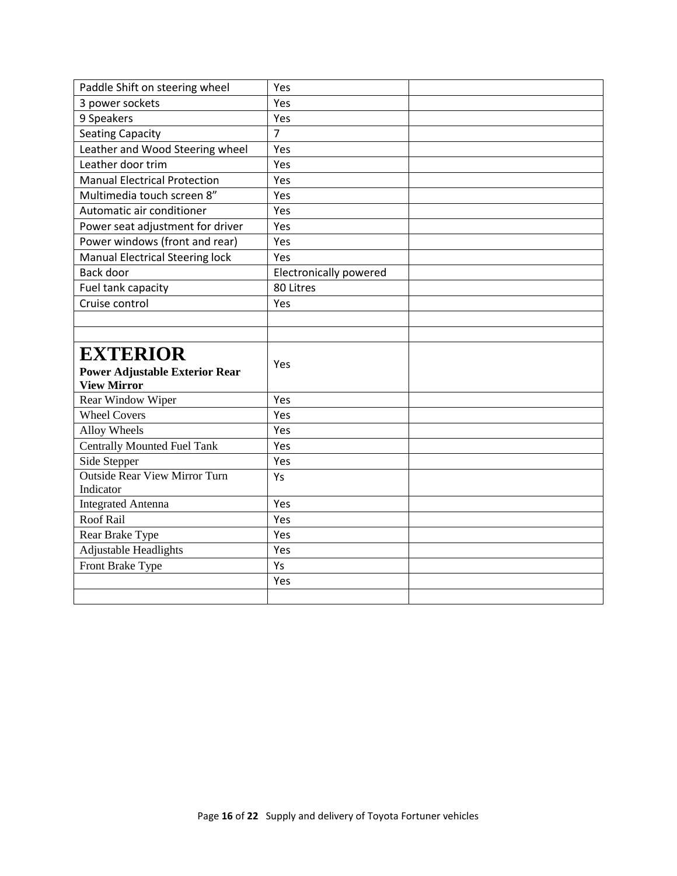| Paddle Shift on steering wheel                              | Yes                    |  |
|-------------------------------------------------------------|------------------------|--|
| 3 power sockets                                             | Yes                    |  |
| 9 Speakers                                                  | Yes                    |  |
| <b>Seating Capacity</b>                                     | $\overline{7}$         |  |
| Leather and Wood Steering wheel                             | Yes                    |  |
| Leather door trim                                           | Yes                    |  |
| <b>Manual Electrical Protection</b>                         | Yes                    |  |
| Multimedia touch screen 8"                                  | Yes                    |  |
| Automatic air conditioner                                   | Yes                    |  |
| Power seat adjustment for driver                            | Yes                    |  |
| Power windows (front and rear)                              | Yes                    |  |
| <b>Manual Electrical Steering lock</b>                      | Yes                    |  |
| Back door                                                   | Electronically powered |  |
| Fuel tank capacity                                          | 80 Litres              |  |
| Cruise control                                              | Yes                    |  |
|                                                             |                        |  |
|                                                             |                        |  |
|                                                             |                        |  |
|                                                             |                        |  |
| <b>EXTERIOR</b>                                             | Yes                    |  |
| <b>Power Adjustable Exterior Rear</b><br><b>View Mirror</b> |                        |  |
| Rear Window Wiper                                           | Yes                    |  |
| <b>Wheel Covers</b>                                         | Yes                    |  |
| Alloy Wheels                                                | Yes                    |  |
| <b>Centrally Mounted Fuel Tank</b>                          | Yes                    |  |
| Side Stepper                                                | Yes                    |  |
| <b>Outside Rear View Mirror Turn</b>                        | Ys                     |  |
| Indicator                                                   |                        |  |
| <b>Integrated Antenna</b>                                   | Yes                    |  |
| Roof Rail                                                   | Yes                    |  |
| Rear Brake Type                                             | Yes                    |  |
| Adjustable Headlights                                       | Yes                    |  |
| Front Brake Type                                            | Ys                     |  |
|                                                             | Yes                    |  |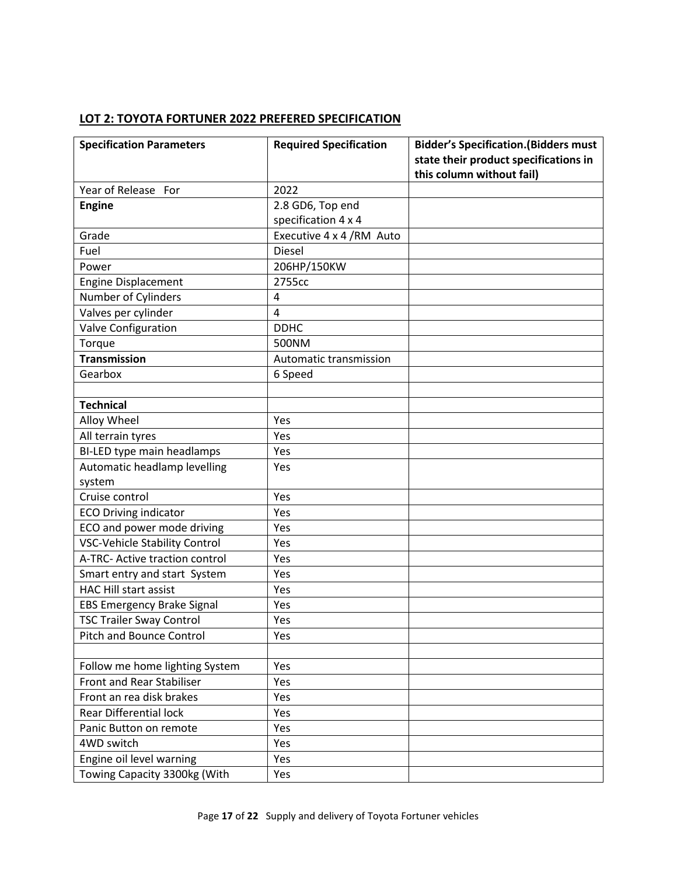# **LOT 2: TOYOTA FORTUNER 2022 PREFERED SPECIFICATION**

| <b>Specification Parameters</b>      | <b>Required Specification</b> | <b>Bidder's Specification. (Bidders must</b>                       |
|--------------------------------------|-------------------------------|--------------------------------------------------------------------|
|                                      |                               | state their product specifications in<br>this column without fail) |
| Year of Release For                  | 2022                          |                                                                    |
| <b>Engine</b>                        | 2.8 GD6, Top end              |                                                                    |
|                                      | specification 4 x 4           |                                                                    |
| Grade                                | Executive 4 x 4 /RM Auto      |                                                                    |
| Fuel                                 | <b>Diesel</b>                 |                                                                    |
| Power                                | 206HP/150KW                   |                                                                    |
| <b>Engine Displacement</b>           | 2755cc                        |                                                                    |
| Number of Cylinders                  | 4                             |                                                                    |
| Valves per cylinder                  | $\overline{4}$                |                                                                    |
| Valve Configuration                  | <b>DDHC</b>                   |                                                                    |
| Torque                               | 500NM                         |                                                                    |
| <b>Transmission</b>                  | Automatic transmission        |                                                                    |
| Gearbox                              | 6 Speed                       |                                                                    |
|                                      |                               |                                                                    |
| <b>Technical</b>                     |                               |                                                                    |
| Alloy Wheel                          | Yes                           |                                                                    |
| All terrain tyres                    | Yes                           |                                                                    |
| BI-LED type main headlamps           | Yes                           |                                                                    |
| Automatic headlamp levelling         | Yes                           |                                                                    |
| system                               |                               |                                                                    |
| Cruise control                       | Yes                           |                                                                    |
| <b>ECO Driving indicator</b>         | Yes                           |                                                                    |
| ECO and power mode driving           | Yes                           |                                                                    |
| <b>VSC-Vehicle Stability Control</b> | Yes                           |                                                                    |
| A-TRC- Active traction control       | Yes                           |                                                                    |
| Smart entry and start System         | Yes                           |                                                                    |
| <b>HAC Hill start assist</b>         | Yes                           |                                                                    |
| <b>EBS Emergency Brake Signal</b>    | Yes                           |                                                                    |
| <b>TSC Trailer Sway Control</b>      | Yes                           |                                                                    |
| <b>Pitch and Bounce Control</b>      | Yes                           |                                                                    |
|                                      |                               |                                                                    |
| Follow me home lighting System       | Yes                           |                                                                    |
| <b>Front and Rear Stabiliser</b>     | Yes                           |                                                                    |
| Front an rea disk brakes             | Yes                           |                                                                    |
| <b>Rear Differential lock</b>        | Yes                           |                                                                    |
| Panic Button on remote               | Yes                           |                                                                    |
| 4WD switch                           | Yes                           |                                                                    |
| Engine oil level warning             | Yes                           |                                                                    |
| Towing Capacity 3300kg (With         | Yes                           |                                                                    |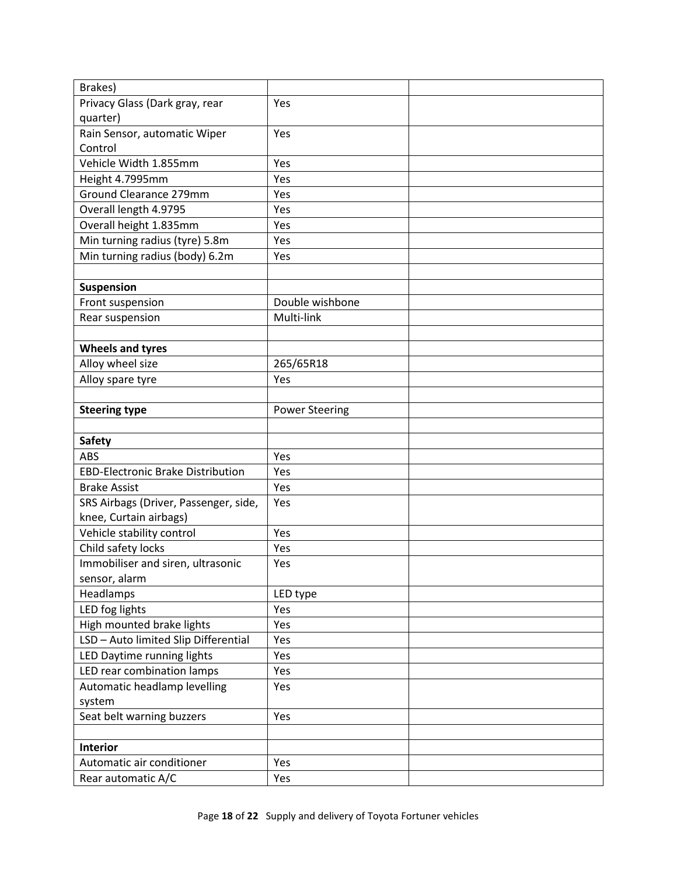| Brakes)                                  |                       |  |
|------------------------------------------|-----------------------|--|
| Privacy Glass (Dark gray, rear           | Yes                   |  |
| quarter)                                 |                       |  |
| Rain Sensor, automatic Wiper             | Yes                   |  |
| Control                                  |                       |  |
| Vehicle Width 1.855mm                    | Yes                   |  |
| Height 4.7995mm                          | Yes                   |  |
| Ground Clearance 279mm                   | Yes                   |  |
| Overall length 4.9795                    | Yes                   |  |
| Overall height 1.835mm                   | Yes                   |  |
| Min turning radius (tyre) 5.8m           | Yes                   |  |
| Min turning radius (body) 6.2m           | Yes                   |  |
|                                          |                       |  |
| Suspension                               |                       |  |
| Front suspension                         | Double wishbone       |  |
| Rear suspension                          | Multi-link            |  |
|                                          |                       |  |
| <b>Wheels and tyres</b>                  |                       |  |
| Alloy wheel size                         | 265/65R18             |  |
| Alloy spare tyre                         | Yes                   |  |
|                                          |                       |  |
| <b>Steering type</b>                     | <b>Power Steering</b> |  |
|                                          |                       |  |
| <b>Safety</b>                            |                       |  |
| <b>ABS</b>                               | Yes                   |  |
| <b>EBD-Electronic Brake Distribution</b> | Yes                   |  |
| <b>Brake Assist</b>                      | Yes                   |  |
| SRS Airbags (Driver, Passenger, side,    | Yes                   |  |
| knee, Curtain airbags)                   |                       |  |
| Vehicle stability control                | Yes                   |  |
| Child safety locks                       | Yes                   |  |
| Immobiliser and siren, ultrasonic        | Yes                   |  |
| sensor, alarm                            |                       |  |
| Headlamps                                | LED type              |  |
| LED fog lights                           | Yes                   |  |
| High mounted brake lights                | Yes                   |  |
| LSD - Auto limited Slip Differential     | Yes                   |  |
| LED Daytime running lights               | Yes                   |  |
| LED rear combination lamps               | Yes                   |  |
| Automatic headlamp levelling             | Yes                   |  |
| system                                   |                       |  |
| Seat belt warning buzzers                | Yes                   |  |
|                                          |                       |  |
| <b>Interior</b>                          |                       |  |
|                                          |                       |  |
| Automatic air conditioner                | Yes                   |  |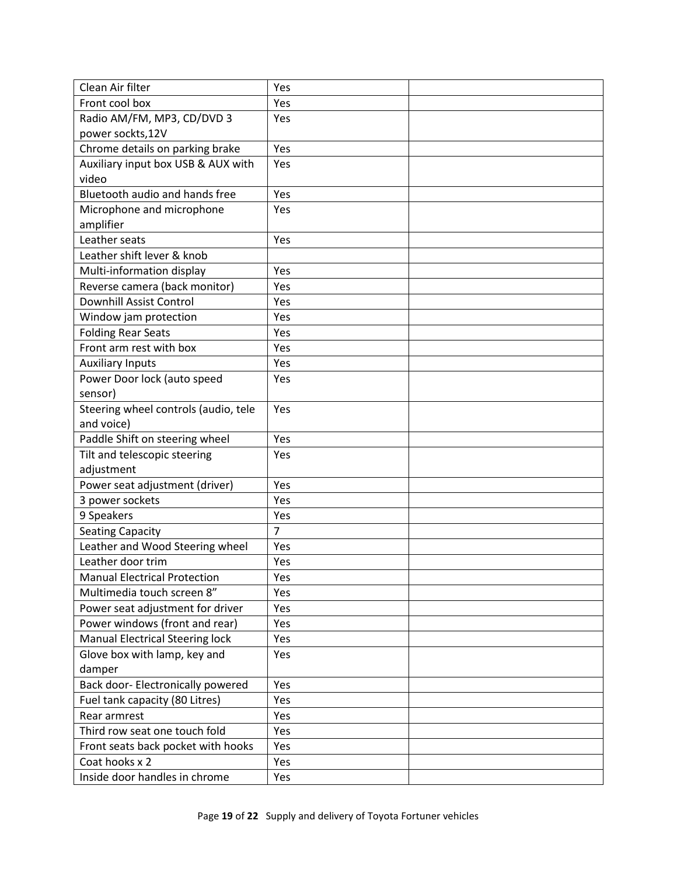| Clean Air filter                       | Yes |  |
|----------------------------------------|-----|--|
| Front cool box                         | Yes |  |
| Radio AM/FM, MP3, CD/DVD 3             | Yes |  |
| power sockts, 12V                      |     |  |
| Chrome details on parking brake        | Yes |  |
| Auxiliary input box USB & AUX with     | Yes |  |
| video                                  |     |  |
| Bluetooth audio and hands free         | Yes |  |
| Microphone and microphone              | Yes |  |
| amplifier                              |     |  |
| Leather seats                          | Yes |  |
| Leather shift lever & knob             |     |  |
| Multi-information display              | Yes |  |
| Reverse camera (back monitor)          | Yes |  |
| Downhill Assist Control                | Yes |  |
| Window jam protection                  | Yes |  |
| <b>Folding Rear Seats</b>              | Yes |  |
| Front arm rest with box                | Yes |  |
| <b>Auxiliary Inputs</b>                | Yes |  |
| Power Door lock (auto speed            | Yes |  |
| sensor)                                |     |  |
| Steering wheel controls (audio, tele   | Yes |  |
| and voice)                             |     |  |
| Paddle Shift on steering wheel         | Yes |  |
| Tilt and telescopic steering           | Yes |  |
| adjustment                             |     |  |
| Power seat adjustment (driver)         | Yes |  |
| 3 power sockets                        | Yes |  |
| 9 Speakers                             | Yes |  |
| <b>Seating Capacity</b>                | 7   |  |
| Leather and Wood Steering wheel        | Yes |  |
| Leather door trim                      | Yes |  |
| <b>Manual Electrical Protection</b>    | Yes |  |
| Multimedia touch screen 8"             | Yes |  |
| Power seat adjustment for driver       | Yes |  |
| Power windows (front and rear)         | Yes |  |
| <b>Manual Electrical Steering lock</b> | Yes |  |
| Glove box with lamp, key and           | Yes |  |
| damper                                 |     |  |
| Back door- Electronically powered      | Yes |  |
| Fuel tank capacity (80 Litres)         | Yes |  |
| Rear armrest                           | Yes |  |
| Third row seat one touch fold          | Yes |  |
| Front seats back pocket with hooks     | Yes |  |
| Coat hooks x 2                         | Yes |  |
| Inside door handles in chrome          | Yes |  |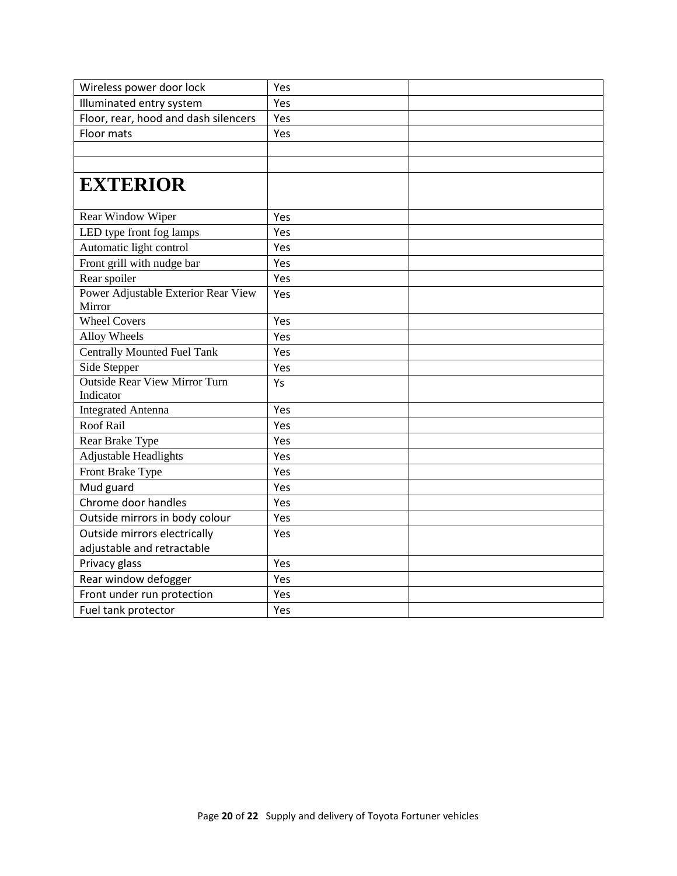| Wireless power door lock             | Yes |  |
|--------------------------------------|-----|--|
| Illuminated entry system             | Yes |  |
| Floor, rear, hood and dash silencers | Yes |  |
| Floor mats                           | Yes |  |
|                                      |     |  |
|                                      |     |  |
| <b>EXTERIOR</b>                      |     |  |
|                                      |     |  |
| Rear Window Wiper                    | Yes |  |
| LED type front fog lamps             | Yes |  |
| Automatic light control              | Yes |  |
| Front grill with nudge bar           | Yes |  |
| Rear spoiler                         | Yes |  |
| Power Adjustable Exterior Rear View  | Yes |  |
| Mirror                               |     |  |
| <b>Wheel Covers</b>                  | Yes |  |
| Alloy Wheels                         | Yes |  |
| <b>Centrally Mounted Fuel Tank</b>   | Yes |  |
| Side Stepper                         | Yes |  |
| <b>Outside Rear View Mirror Turn</b> | Ys  |  |
| Indicator                            |     |  |
| <b>Integrated Antenna</b>            | Yes |  |
| Roof Rail                            | Yes |  |
| Rear Brake Type                      | Yes |  |
| Adjustable Headlights                | Yes |  |
| Front Brake Type                     | Yes |  |
| Mud guard                            | Yes |  |
| Chrome door handles                  | Yes |  |
| Outside mirrors in body colour       | Yes |  |
| Outside mirrors electrically         | Yes |  |
| adjustable and retractable           |     |  |
| Privacy glass                        | Yes |  |
| Rear window defogger                 | Yes |  |
| Front under run protection           | Yes |  |
| Fuel tank protector                  | Yes |  |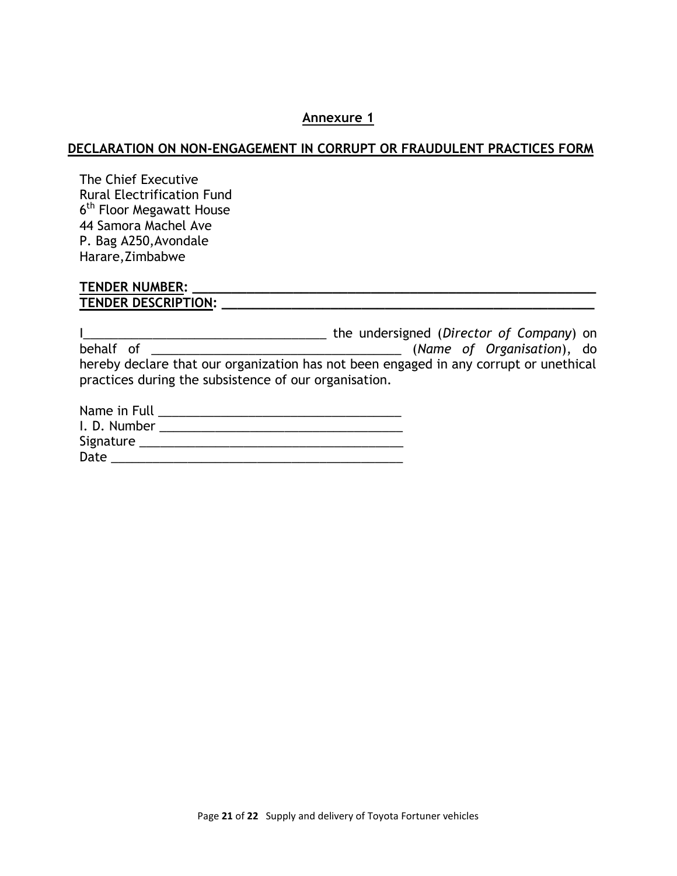#### **Annexure 1**

#### **DECLARATION ON NON-ENGAGEMENT IN CORRUPT OR FRAUDULENT PRACTICES FORM**

The Chief Executive Rural Electrification Fund 6<sup>th</sup> Floor Megawatt House 44 Samora Machel Ave P. Bag A250,Avondale Harare,Zimbabwe

# **TENDER NUMBER: \_\_\_\_\_\_\_\_\_\_\_\_\_\_\_\_\_\_\_\_\_\_\_\_\_\_\_\_\_\_\_\_\_\_\_\_\_\_\_\_\_\_\_\_\_\_\_\_\_\_\_\_**

**TENDER DESCRIPTION: \_\_\_\_\_\_\_\_\_\_\_\_\_\_\_\_\_\_\_\_\_\_\_\_\_\_\_\_\_\_\_\_\_\_\_\_\_\_\_\_\_\_\_\_\_\_\_\_**

|                                                       | the undersigned (Director of Company) on                                              |  |
|-------------------------------------------------------|---------------------------------------------------------------------------------------|--|
| behalf of                                             | (Name of Organisation), do                                                            |  |
| practices during the subsistence of our organisation. | hereby declare that our organization has not been engaged in any corrupt or unethical |  |

| Name in Full |  |
|--------------|--|
| I. D. Number |  |
| Signature    |  |
| Date         |  |